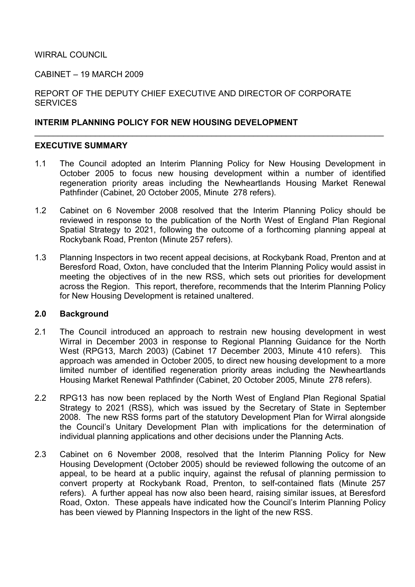### WIRRAL COUNCIL

CABINET – 19 MARCH 2009

### REPORT OF THE DEPUTY CHIEF EXECUTIVE AND DIRECTOR OF CORPORATE **SERVICES**

# INTERIM PLANNING POLICY FOR NEW HOUSING DEVELOPMENT

### EXECUTIVE SUMMARY

1.1 The Council adopted an Interim Planning Policy for New Housing Development in October 2005 to focus new housing development within a number of identified regeneration priority areas including the Newheartlands Housing Market Renewal Pathfinder (Cabinet, 20 October 2005, Minute 278 refers).

\_\_\_\_\_\_\_\_\_\_\_\_\_\_\_\_\_\_\_\_\_\_\_\_\_\_\_\_\_\_\_\_\_\_\_\_\_\_\_\_\_\_\_\_\_\_\_\_\_\_\_\_\_\_\_\_\_\_\_\_\_\_\_\_\_\_\_\_\_\_\_\_\_\_\_

- 1.2 Cabinet on 6 November 2008 resolved that the Interim Planning Policy should be reviewed in response to the publication of the North West of England Plan Regional Spatial Strategy to 2021, following the outcome of a forthcoming planning appeal at Rockybank Road, Prenton (Minute 257 refers).
- 1.3 Planning Inspectors in two recent appeal decisions, at Rockybank Road, Prenton and at Beresford Road, Oxton, have concluded that the Interim Planning Policy would assist in meeting the objectives of in the new RSS, which sets out priorities for development across the Region. This report, therefore, recommends that the Interim Planning Policy for New Housing Development is retained unaltered.

### 2.0 Background

- 2.1 The Council introduced an approach to restrain new housing development in west Wirral in December 2003 in response to Regional Planning Guidance for the North West (RPG13, March 2003) (Cabinet 17 December 2003, Minute 410 refers). This approach was amended in October 2005, to direct new housing development to a more limited number of identified regeneration priority areas including the Newheartlands Housing Market Renewal Pathfinder (Cabinet, 20 October 2005, Minute 278 refers).
- 2.2 RPG13 has now been replaced by the North West of England Plan Regional Spatial Strategy to 2021 (RSS), which was issued by the Secretary of State in September 2008. The new RSS forms part of the statutory Development Plan for Wirral alongside the Council's Unitary Development Plan with implications for the determination of individual planning applications and other decisions under the Planning Acts.
- 2.3 Cabinet on 6 November 2008, resolved that the Interim Planning Policy for New Housing Development (October 2005) should be reviewed following the outcome of an appeal, to be heard at a public inquiry, against the refusal of planning permission to convert property at Rockybank Road, Prenton, to self-contained flats (Minute 257 refers). A further appeal has now also been heard, raising similar issues, at Beresford Road, Oxton. These appeals have indicated how the Council's Interim Planning Policy has been viewed by Planning Inspectors in the light of the new RSS.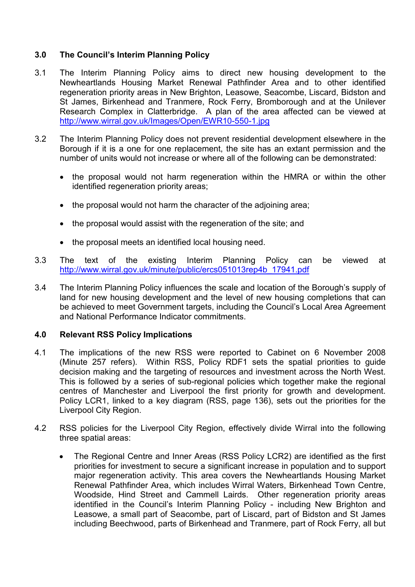# 3.0 The Council's Interim Planning Policy

- 3.1 The Interim Planning Policy aims to direct new housing development to the Newheartlands Housing Market Renewal Pathfinder Area and to other identified regeneration priority areas in New Brighton, Leasowe, Seacombe, Liscard, Bidston and St James, Birkenhead and Tranmere, Rock Ferry, Bromborough and at the Unilever Research Complex in Clatterbridge. A plan of the area affected can be viewed at http://www.wirral.gov.uk/Images/Open/EWR10-550-1.jpg
- 3.2 The Interim Planning Policy does not prevent residential development elsewhere in the Borough if it is a one for one replacement, the site has an extant permission and the number of units would not increase or where all of the following can be demonstrated:
	- the proposal would not harm regeneration within the HMRA or within the other identified regeneration priority areas;
	- the proposal would not harm the character of the adjoining area;
	- the proposal would assist with the regeneration of the site; and
	- the proposal meets an identified local housing need.
- 3.3 The text of the existing Interim Planning Policy can be viewed at http://www.wirral.gov.uk/minute/public/ercs051013rep4b\_17941.pdf
- 3.4 The Interim Planning Policy influences the scale and location of the Borough's supply of land for new housing development and the level of new housing completions that can be achieved to meet Government targets, including the Council's Local Area Agreement and National Performance Indicator commitments.

### 4.0 Relevant RSS Policy Implications

- 4.1 The implications of the new RSS were reported to Cabinet on 6 November 2008 (Minute 257 refers). Within RSS, Policy RDF1 sets the spatial priorities to guide decision making and the targeting of resources and investment across the North West. This is followed by a series of sub-regional policies which together make the regional centres of Manchester and Liverpool the first priority for growth and development. Policy LCR1, linked to a key diagram (RSS, page 136), sets out the priorities for the Liverpool City Region.
- 4.2 RSS policies for the Liverpool City Region, effectively divide Wirral into the following three spatial areas:
	- The Regional Centre and Inner Areas (RSS Policy LCR2) are identified as the first priorities for investment to secure a significant increase in population and to support major regeneration activity. This area covers the Newheartlands Housing Market Renewal Pathfinder Area, which includes Wirral Waters, Birkenhead Town Centre, Woodside, Hind Street and Cammell Lairds. Other regeneration priority areas identified in the Council's Interim Planning Policy - including New Brighton and Leasowe, a small part of Seacombe, part of Liscard, part of Bidston and St James including Beechwood, parts of Birkenhead and Tranmere, part of Rock Ferry, all but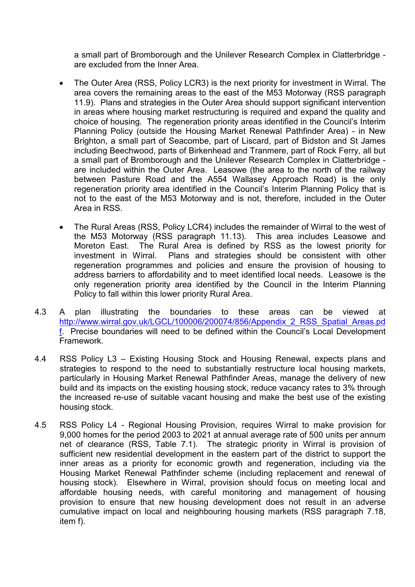a small part of Bromborough and the Unilever Research Complex in Clatterbridge are excluded from the Inner Area.

- The Outer Area (RSS, Policy LCR3) is the next priority for investment in Wirral. The area covers the remaining areas to the east of the M53 Motorway (RSS paragraph 11.9). Plans and strategies in the Outer Area should support significant intervention in areas where housing market restructuring is required and expand the quality and choice of housing. The regeneration priority areas identified in the Council's Interim Planning Policy (outside the Housing Market Renewal Pathfinder Area) - in New Brighton, a small part of Seacombe, part of Liscard, part of Bidston and St James including Beechwood, parts of Birkenhead and Tranmere, part of Rock Ferry, all but a small part of Bromborough and the Unilever Research Complex in Clatterbridge are included within the Outer Area. Leasowe (the area to the north of the railway between Pasture Road and the A554 Wallasey Approach Road) is the only regeneration priority area identified in the Council's Interim Planning Policy that is not to the east of the M53 Motorway and is not, therefore, included in the Outer Area in RSS.
- The Rural Areas (RSS, Policy LCR4) includes the remainder of Wirral to the west of the M53 Motorway (RSS paragraph 11.13). This area includes Leasowe and Moreton East. The Rural Area is defined by RSS as the lowest priority for investment in Wirral. Plans and strategies should be consistent with other regeneration programmes and policies and ensure the provision of housing to address barriers to affordability and to meet identified local needs. Leasowe is the only regeneration priority area identified by the Council in the Interim Planning Policy to fall within this lower priority Rural Area.
- 4.3 A plan illustrating the boundaries to these areas can be viewed at http://www.wirral.gov.uk/LGCL/100006/200074/856/Appendix\_2\_RSS\_Spatial\_Areas.pd f. Precise boundaries will need to be defined within the Council's Local Development Framework.
- 4.4 RSS Policy L3 Existing Housing Stock and Housing Renewal, expects plans and strategies to respond to the need to substantially restructure local housing markets, particularly in Housing Market Renewal Pathfinder Areas, manage the delivery of new build and its impacts on the existing housing stock, reduce vacancy rates to 3% through the increased re-use of suitable vacant housing and make the best use of the existing housing stock.
- 4.5 RSS Policy L4 Regional Housing Provision, requires Wirral to make provision for 9,000 homes for the period 2003 to 2021 at annual average rate of 500 units per annum net of clearance (RSS, Table 7.1). The strategic priority in Wirral is provision of sufficient new residential development in the eastern part of the district to support the inner areas as a priority for economic growth and regeneration, including via the Housing Market Renewal Pathfinder scheme (including replacement and renewal of housing stock). Elsewhere in Wirral, provision should focus on meeting local and affordable housing needs, with careful monitoring and management of housing provision to ensure that new housing development does not result in an adverse cumulative impact on local and neighbouring housing markets (RSS paragraph 7.18, item f).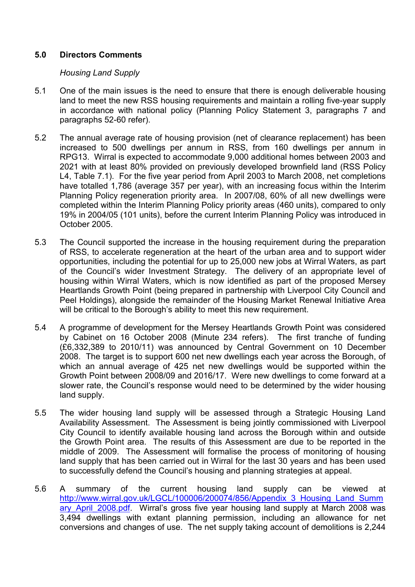# 5.0 Directors Comments

#### Housing Land Supply

- 5.1 One of the main issues is the need to ensure that there is enough deliverable housing land to meet the new RSS housing requirements and maintain a rolling five-year supply in accordance with national policy (Planning Policy Statement 3, paragraphs 7 and paragraphs 52-60 refer).
- 5.2 The annual average rate of housing provision (net of clearance replacement) has been increased to 500 dwellings per annum in RSS, from 160 dwellings per annum in RPG13. Wirral is expected to accommodate 9,000 additional homes between 2003 and 2021 with at least 80% provided on previously developed brownfield land (RSS Policy L4, Table 7.1). For the five year period from April 2003 to March 2008, net completions have totalled 1,786 (average 357 per year), with an increasing focus within the Interim Planning Policy regeneration priority area. In 2007/08, 60% of all new dwellings were completed within the Interim Planning Policy priority areas (460 units), compared to only 19% in 2004/05 (101 units), before the current Interim Planning Policy was introduced in October 2005.
- 5.3 The Council supported the increase in the housing requirement during the preparation of RSS, to accelerate regeneration at the heart of the urban area and to support wider opportunities, including the potential for up to 25,000 new jobs at Wirral Waters, as part of the Council's wider Investment Strategy. The delivery of an appropriate level of housing within Wirral Waters, which is now identified as part of the proposed Mersey Heartlands Growth Point (being prepared in partnership with Liverpool City Council and Peel Holdings), alongside the remainder of the Housing Market Renewal Initiative Area will be critical to the Borough's ability to meet this new requirement.
- 5.4 A programme of development for the Mersey Heartlands Growth Point was considered by Cabinet on 16 October 2008 (Minute 234 refers). The first tranche of funding (£6,332,389 to 2010/11) was announced by Central Government on 10 December 2008. The target is to support 600 net new dwellings each year across the Borough, of which an annual average of 425 net new dwellings would be supported within the Growth Point between 2008/09 and 2016/17. Were new dwellings to come forward at a slower rate, the Council's response would need to be determined by the wider housing land supply.
- 5.5 The wider housing land supply will be assessed through a Strategic Housing Land Availability Assessment. The Assessment is being jointly commissioned with Liverpool City Council to identify available housing land across the Borough within and outside the Growth Point area. The results of this Assessment are due to be reported in the middle of 2009. The Assessment will formalise the process of monitoring of housing land supply that has been carried out in Wirral for the last 30 years and has been used to successfully defend the Council's housing and planning strategies at appeal.
- 5.6 A summary of the current housing land supply can be viewed at http://www.wirral.gov.uk/LGCL/100006/200074/856/Appendix\_3\_Housing\_Land\_Summ ary April 2008.pdf. Wirral's gross five year housing land supply at March 2008 was 3,494 dwellings with extant planning permission, including an allowance for net conversions and changes of use. The net supply taking account of demolitions is 2,244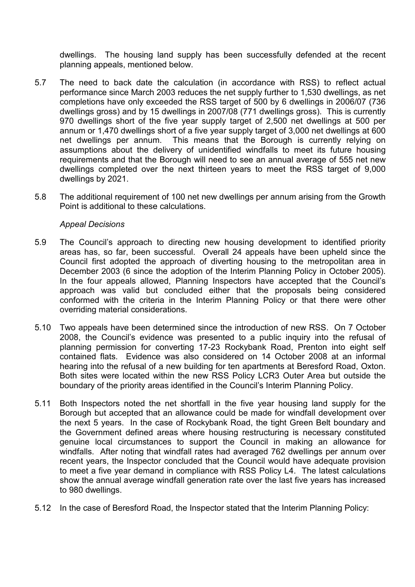dwellings. The housing land supply has been successfully defended at the recent planning appeals, mentioned below.

- 5.7 The need to back date the calculation (in accordance with RSS) to reflect actual performance since March 2003 reduces the net supply further to 1,530 dwellings, as net completions have only exceeded the RSS target of 500 by 6 dwellings in 2006/07 (736 dwellings gross) and by 15 dwellings in 2007/08 (771 dwellings gross). This is currently 970 dwellings short of the five year supply target of 2,500 net dwellings at 500 per annum or 1,470 dwellings short of a five year supply target of 3,000 net dwellings at 600 net dwellings per annum. This means that the Borough is currently relying on assumptions about the delivery of unidentified windfalls to meet its future housing requirements and that the Borough will need to see an annual average of 555 net new dwellings completed over the next thirteen years to meet the RSS target of 9,000 dwellings by 2021.
- 5.8 The additional requirement of 100 net new dwellings per annum arising from the Growth Point is additional to these calculations.

### Appeal Decisions

- 5.9 The Council's approach to directing new housing development to identified priority areas has, so far, been successful. Overall 24 appeals have been upheld since the Council first adopted the approach of diverting housing to the metropolitan area in December 2003 (6 since the adoption of the Interim Planning Policy in October 2005). In the four appeals allowed, Planning Inspectors have accepted that the Council's approach was valid but concluded either that the proposals being considered conformed with the criteria in the Interim Planning Policy or that there were other overriding material considerations.
- 5.10 Two appeals have been determined since the introduction of new RSS. On 7 October 2008, the Council's evidence was presented to a public inquiry into the refusal of planning permission for converting 17-23 Rockybank Road, Prenton into eight self contained flats. Evidence was also considered on 14 October 2008 at an informal hearing into the refusal of a new building for ten apartments at Beresford Road, Oxton. Both sites were located within the new RSS Policy LCR3 Outer Area but outside the boundary of the priority areas identified in the Council's Interim Planning Policy.
- 5.11 Both Inspectors noted the net shortfall in the five year housing land supply for the Borough but accepted that an allowance could be made for windfall development over the next 5 years. In the case of Rockybank Road, the tight Green Belt boundary and the Government defined areas where housing restructuring is necessary constituted genuine local circumstances to support the Council in making an allowance for windfalls. After noting that windfall rates had averaged 762 dwellings per annum over recent years, the Inspector concluded that the Council would have adequate provision to meet a five year demand in compliance with RSS Policy L4. The latest calculations show the annual average windfall generation rate over the last five years has increased to 980 dwellings.
- 5.12 In the case of Beresford Road, the Inspector stated that the Interim Planning Policy: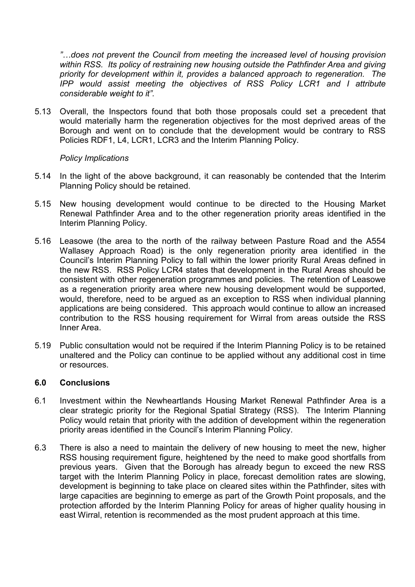"…does not prevent the Council from meeting the increased level of housing provision within RSS. Its policy of restraining new housing outside the Pathfinder Area and giving priority for development within it, provides a balanced approach to regeneration. The IPP would assist meeting the objectives of RSS Policy LCR1 and I attribute considerable weight to it".

5.13 Overall, the Inspectors found that both those proposals could set a precedent that would materially harm the regeneration objectives for the most deprived areas of the Borough and went on to conclude that the development would be contrary to RSS Policies RDF1, L4, LCR1, LCR3 and the Interim Planning Policy.

### Policy Implications

- 5.14 In the light of the above background, it can reasonably be contended that the Interim Planning Policy should be retained.
- 5.15 New housing development would continue to be directed to the Housing Market Renewal Pathfinder Area and to the other regeneration priority areas identified in the Interim Planning Policy.
- 5.16 Leasowe (the area to the north of the railway between Pasture Road and the A554 Wallasey Approach Road) is the only regeneration priority area identified in the Council's Interim Planning Policy to fall within the lower priority Rural Areas defined in the new RSS. RSS Policy LCR4 states that development in the Rural Areas should be consistent with other regeneration programmes and policies. The retention of Leasowe as a regeneration priority area where new housing development would be supported, would, therefore, need to be argued as an exception to RSS when individual planning applications are being considered. This approach would continue to allow an increased contribution to the RSS housing requirement for Wirral from areas outside the RSS Inner Area.
- 5.19 Public consultation would not be required if the Interim Planning Policy is to be retained unaltered and the Policy can continue to be applied without any additional cost in time or resources.

### 6.0 Conclusions

- 6.1 Investment within the Newheartlands Housing Market Renewal Pathfinder Area is a clear strategic priority for the Regional Spatial Strategy (RSS). The Interim Planning Policy would retain that priority with the addition of development within the regeneration priority areas identified in the Council's Interim Planning Policy.
- 6.3 There is also a need to maintain the delivery of new housing to meet the new, higher RSS housing requirement figure, heightened by the need to make good shortfalls from previous years. Given that the Borough has already begun to exceed the new RSS target with the Interim Planning Policy in place, forecast demolition rates are slowing, development is beginning to take place on cleared sites within the Pathfinder, sites with large capacities are beginning to emerge as part of the Growth Point proposals, and the protection afforded by the Interim Planning Policy for areas of higher quality housing in east Wirral, retention is recommended as the most prudent approach at this time.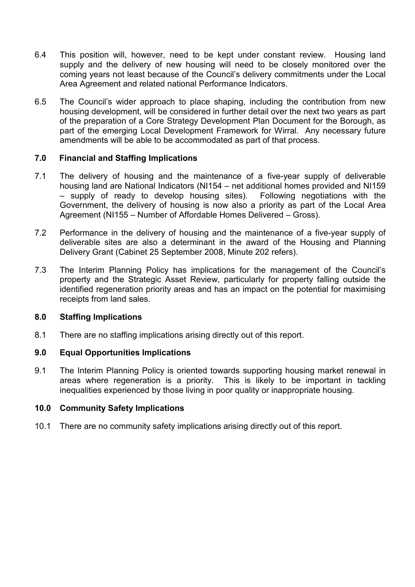- 6.4 This position will, however, need to be kept under constant review. Housing land supply and the delivery of new housing will need to be closely monitored over the coming years not least because of the Council's delivery commitments under the Local Area Agreement and related national Performance Indicators.
- 6.5 The Council's wider approach to place shaping, including the contribution from new housing development, will be considered in further detail over the next two years as part of the preparation of a Core Strategy Development Plan Document for the Borough, as part of the emerging Local Development Framework for Wirral. Any necessary future amendments will be able to be accommodated as part of that process.

# 7.0 Financial and Staffing Implications

- 7.1 The delivery of housing and the maintenance of a five-year supply of deliverable housing land are National Indicators (NI154 – net additional homes provided and NI159 – supply of ready to develop housing sites). Following negotiations with the Government, the delivery of housing is now also a priority as part of the Local Area Agreement (NI155 – Number of Affordable Homes Delivered – Gross).
- 7.2 Performance in the delivery of housing and the maintenance of a five-year supply of deliverable sites are also a determinant in the award of the Housing and Planning Delivery Grant (Cabinet 25 September 2008, Minute 202 refers).
- 7.3 The Interim Planning Policy has implications for the management of the Council's property and the Strategic Asset Review, particularly for property falling outside the identified regeneration priority areas and has an impact on the potential for maximising receipts from land sales.

### 8.0 Staffing Implications

8.1 There are no staffing implications arising directly out of this report.

# 9.0 Equal Opportunities Implications

9.1 The Interim Planning Policy is oriented towards supporting housing market renewal in areas where regeneration is a priority. This is likely to be important in tackling inequalities experienced by those living in poor quality or inappropriate housing.

### 10.0 Community Safety Implications

10.1 There are no community safety implications arising directly out of this report.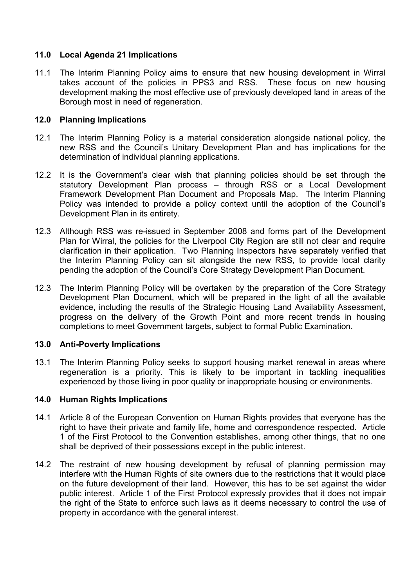# 11.0 Local Agenda 21 Implications

11.1 The Interim Planning Policy aims to ensure that new housing development in Wirral takes account of the policies in PPS3 and RSS. These focus on new housing development making the most effective use of previously developed land in areas of the Borough most in need of regeneration.

### 12.0 Planning Implications

- 12.1 The Interim Planning Policy is a material consideration alongside national policy, the new RSS and the Council's Unitary Development Plan and has implications for the determination of individual planning applications.
- 12.2 It is the Government's clear wish that planning policies should be set through the statutory Development Plan process – through RSS or a Local Development Framework Development Plan Document and Proposals Map. The Interim Planning Policy was intended to provide a policy context until the adoption of the Council's Development Plan in its entirety.
- 12.3 Although RSS was re-issued in September 2008 and forms part of the Development Plan for Wirral, the policies for the Liverpool City Region are still not clear and require clarification in their application. Two Planning Inspectors have separately verified that the Interim Planning Policy can sit alongside the new RSS, to provide local clarity pending the adoption of the Council's Core Strategy Development Plan Document.
- 12.3 The Interim Planning Policy will be overtaken by the preparation of the Core Strategy Development Plan Document, which will be prepared in the light of all the available evidence, including the results of the Strategic Housing Land Availability Assessment, progress on the delivery of the Growth Point and more recent trends in housing completions to meet Government targets, subject to formal Public Examination.

# 13.0 Anti-Poverty Implications

13.1 The Interim Planning Policy seeks to support housing market renewal in areas where regeneration is a priority. This is likely to be important in tackling inequalities experienced by those living in poor quality or inappropriate housing or environments.

### 14.0 Human Rights Implications

- 14.1 Article 8 of the European Convention on Human Rights provides that everyone has the right to have their private and family life, home and correspondence respected. Article 1 of the First Protocol to the Convention establishes, among other things, that no one shall be deprived of their possessions except in the public interest.
- 14.2 The restraint of new housing development by refusal of planning permission may interfere with the Human Rights of site owners due to the restrictions that it would place on the future development of their land. However, this has to be set against the wider public interest. Article 1 of the First Protocol expressly provides that it does not impair the right of the State to enforce such laws as it deems necessary to control the use of property in accordance with the general interest.